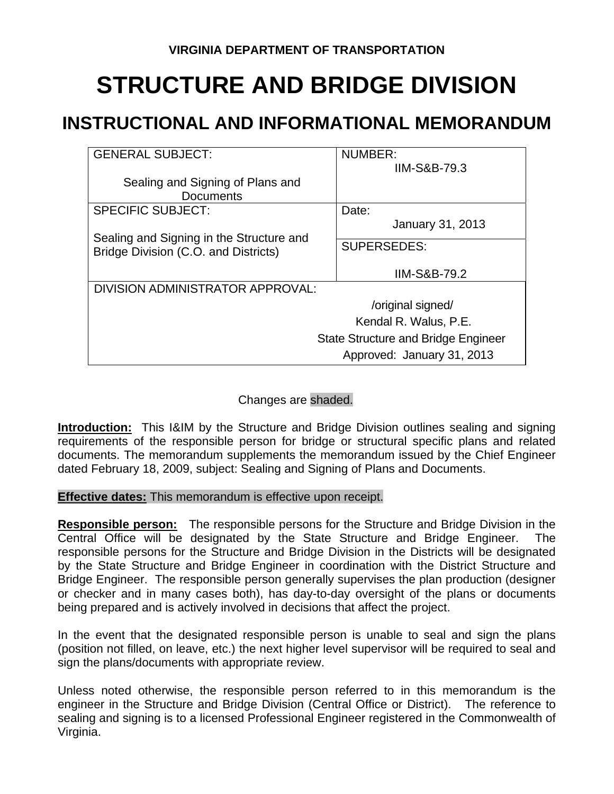## **STRUCTURE AND BRIDGE DIVISION**

## **INSTRUCTIONAL AND INFORMATIONAL MEMORANDUM**

| <b>GENERAL SUBJECT:</b>                    | <b>NUMBER:</b>             |
|--------------------------------------------|----------------------------|
|                                            | <b>IIM-S&amp;B-79.3</b>    |
| Sealing and Signing of Plans and           |                            |
| <b>Documents</b>                           |                            |
| <b>SPECIFIC SUBJECT:</b>                   | Date:                      |
|                                            | <b>January 31, 2013</b>    |
| Sealing and Signing in the Structure and   | <b>SUPERSEDES:</b>         |
| Bridge Division (C.O. and Districts)       |                            |
|                                            | <b>IIM-S&amp;B-79.2</b>    |
| DIVISION ADMINISTRATOR APPROVAL:           |                            |
|                                            | /original signed/          |
|                                            | Kendal R. Walus, P.E.      |
| <b>State Structure and Bridge Engineer</b> |                            |
|                                            | Approved: January 31, 2013 |

## Changes are shaded.

**Introduction:** This I&IM by the Structure and Bridge Division outlines sealing and signing requirements of the responsible person for bridge or structural specific plans and related documents. The memorandum supplements the memorandum issued by the Chief Engineer dated February 18, 2009, subject: Sealing and Signing of Plans and Documents.

**Effective dates:** This memorandum is effective upon receipt.

**Responsible person:** The responsible persons for the Structure and Bridge Division in the Central Office will be designated by the State Structure and Bridge Engineer. The responsible persons for the Structure and Bridge Division in the Districts will be designated by the State Structure and Bridge Engineer in coordination with the District Structure and Bridge Engineer. The responsible person generally supervises the plan production (designer or checker and in many cases both), has day-to-day oversight of the plans or documents being prepared and is actively involved in decisions that affect the project.

In the event that the designated responsible person is unable to seal and sign the plans (position not filled, on leave, etc.) the next higher level supervisor will be required to seal and sign the plans/documents with appropriate review.

Unless noted otherwise, the responsible person referred to in this memorandum is the engineer in the Structure and Bridge Division (Central Office or District). The reference to sealing and signing is to a licensed Professional Engineer registered in the Commonwealth of Virginia.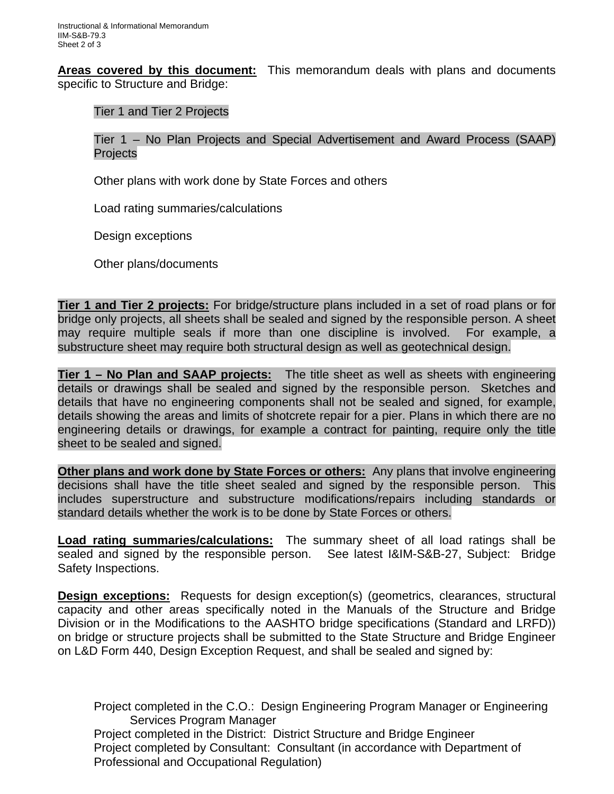**Areas covered by this document:** This memorandum deals with plans and documents specific to Structure and Bridge:

Tier 1 and Tier 2 Projects

Tier 1 – No Plan Projects and Special Advertisement and Award Process (SAAP) Projects

Other plans with work done by State Forces and others

Load rating summaries/calculations

Design exceptions

Other plans/documents

**Tier 1 and Tier 2 projects:** For bridge/structure plans included in a set of road plans or for bridge only projects, all sheets shall be sealed and signed by the responsible person. A sheet may require multiple seals if more than one discipline is involved. For example, a substructure sheet may require both structural design as well as geotechnical design.

**Tier 1 – No Plan and SAAP projects:** The title sheet as well as sheets with engineering details or drawings shall be sealed and signed by the responsible person. Sketches and details that have no engineering components shall not be sealed and signed, for example, details showing the areas and limits of shotcrete repair for a pier. Plans in which there are no engineering details or drawings, for example a contract for painting, require only the title sheet to be sealed and signed.

**Other plans and work done by State Forces or others:** Any plans that involve engineering decisions shall have the title sheet sealed and signed by the responsible person. This includes superstructure and substructure modifications/repairs including standards or standard details whether the work is to be done by State Forces or others.

**Load rating summaries/calculations:** The summary sheet of all load ratings shall be sealed and signed by the responsible person. See latest I&IM-S&B-27, Subject: Bridge Safety Inspections.

**Design exceptions:** Requests for design exception(s) (geometrics, clearances, structural capacity and other areas specifically noted in the Manuals of the Structure and Bridge Division or in the Modifications to the AASHTO bridge specifications (Standard and LRFD)) on bridge or structure projects shall be submitted to the State Structure and Bridge Engineer on L&D Form 440, Design Exception Request, and shall be sealed and signed by:

Project completed in the C.O.: Design Engineering Program Manager or Engineering Services Program Manager Project completed in the District: District Structure and Bridge Engineer Project completed by Consultant: Consultant (in accordance with Department of Professional and Occupational Regulation)